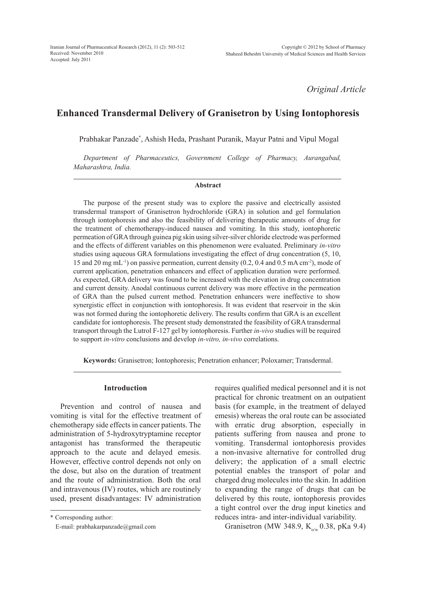*Original Article*

# **Enhanced Transdermal Delivery of Granisetron by Using Iontophoresis**

Prabhakar Panzade\* , Ashish Heda, Prashant Puranik, Mayur Patni and Vipul Mogal

*Department of Pharmaceutics, Government College of Pharmacy, Aurangabad, Maharashtra, India.*

#### **Abstract**

The purpose of the present study was to explore the passive and electrically assisted transdermal transport of Granisetron hydrochloride (GRA) in solution and gel formulation through iontophoresis and also the feasibility of delivering therapeutic amounts of drug for the treatment of chemotherapy-induced nausea and vomiting. In this study, iontophoretic permeation of GRA through guinea pig skin using silver-silver chloride electrode was performed and the effects of different variables on this phenomenon were evaluated. Preliminary *in-vitro* studies using aqueous GRA formulations investigating the effect of drug concentration (5, 10, 15 and 20 mg mL-1) on passive permeation, current density (0.2, 0.4 and 0.5 mA cm-2), mode of current application, penetration enhancers and effect of application duration were performed. As expected, GRA delivery was found to be increased with the elevation in drug concentration and current density. Anodal continuous current delivery was more effective in the permeation of GRA than the pulsed current method. Penetration enhancers were ineffective to show synergistic effect in conjunction with iontophoresis. It was evident that reservoir in the skin was not formed during the iontophoretic delivery. The results confirm that GRA is an excellent candidate for iontophoresis. The present study demonstrated the feasibility of GRA transdermal transport through the Lutrol F-127 gel by iontophoresis. Further *in-vivo* studies will be required to support *in-vitro* conclusions and develop *in-vitro, in-vivo* correlations.

**Keywords:** Granisetron; Iontophoresis; Penetration enhancer; Poloxamer; Transdermal.

#### **Introduction**

Prevention and control of nausea and vomiting is vital for the effective treatment of chemotherapy side effects in cancer patients. The administration of 5-hydroxytryptamine receptor antagonist has transformed the therapeutic approach to the acute and delayed emesis. However, effective control depends not only on the dose, but also on the duration of treatment and the route of administration. Both the oral and intravenous (IV) routes, which are routinely used, present disadvantages: IV administration

\* Corresponding author:

E-mail: prabhakarpanzade@gmail.com

requires qualified medical personnel and it is not practical for chronic treatment on an outpatient basis (for example, in the treatment of delayed emesis) whereas the oral route can be associated with erratic drug absorption, especially in patients suffering from nausea and prone to vomiting. Transdermal iontophoresis provides a non-invasive alternative for controlled drug delivery; the application of a small electric potential enables the transport of polar and charged drug molecules into the skin. In addition to expanding the range of drugs that can be delivered by this route, iontophoresis provides a tight control over the drug input kinetics and reduces intra- and inter-individual variability.

Granisetron (MW 348.9,  $K_{\text{o/w}}$  0.38, pKa 9.4)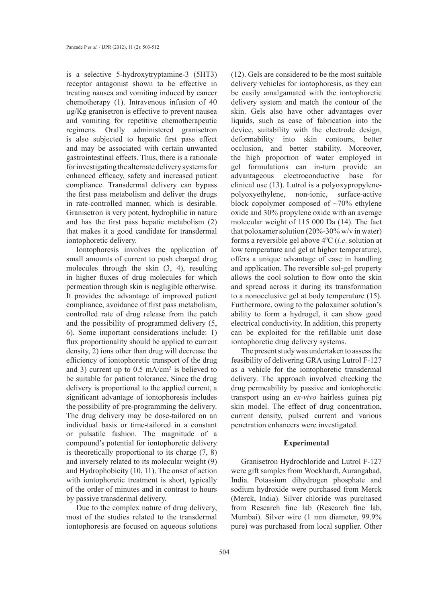is a selective 5-hydroxytryptamine-3 (5HT3) receptor antagonist shown to be effective in treating nausea and vomiting induced by cancer chemotherapy (1). Intravenous infusion of 40 µg/Kg granisetron is effective to prevent nausea and vomiting for repetitive chemotherapeutic regimens. Orally administered granisetron is also subjected to hepatic first pass effect and may be associated with certain unwanted gastrointestinal effects. Thus, there is a rationale for investigating the alternate delivery systems for enhanced efficacy, safety and increased patient compliance. Transdermal delivery can bypass the first pass metabolism and deliver the drugs in rate-controlled manner, which is desirable. Granisetron is very potent, hydrophilic in nature and has the first pass hepatic metabolism (2) that makes it a good candidate for transdermal iontophoretic delivery.

Iontophoresis involves the application of small amounts of current to push charged drug molecules through the skin (3, 4), resulting in higher fluxes of drug molecules for which permeation through skin is negligible otherwise. It provides the advantage of improved patient compliance, avoidance of first pass metabolism, controlled rate of drug release from the patch and the possibility of programmed delivery (5, 6). Some important considerations include: 1) flux proportionality should be applied to current density, 2) ions other than drug will decrease the efficiency of iontophoretic transport of the drug and 3) current up to  $0.5 \text{ mA/cm}^2$  is believed to be suitable for patient tolerance. Since the drug delivery is proportional to the applied current, a significant advantage of iontophoresis includes the possibility of pre-programming the delivery. The drug delivery may be dose-tailored on an individual basis or time-tailored in a constant or pulsatile fashion. The magnitude of a compound's potential for iontophoretic delivery is theoretically proportional to its charge  $(7, 8)$ and inversely related to its molecular weight (9) and Hydrophobicity (10, 11). The onset of action with iontophoretic treatment is short, typically of the order of minutes and in contrast to hours by passive transdermal delivery.

Due to the complex nature of drug delivery, most of the studies related to the transdermal iontophoresis are focused on aqueous solutions (12). Gels are considered to be the most suitable delivery vehicles for iontophoresis, as they can be easily amalgamated with the iontophoretic delivery system and match the contour of the skin. Gels also have other advantages over liquids, such as ease of fabrication into the device, suitability with the electrode design, deformability into skin contours, better occlusion, and better stability. Moreover, the high proportion of water employed in gel formulations can in-turn provide an advantageous electroconductive base for clinical use (13). Lutrol is a polyoxypropylenepolyoxyethylene, non-ionic, surface-active block copolymer composed of  $~10\%$  ethylene oxide and 30% propylene oxide with an average molecular weight of 115 000 Da (14). The fact that poloxamer solution  $(20\% - 30\% \text{ w/v} \text{ in water})$ forms a reversible gel above 40 C (*i.e*. solution at low temperature and gel at higher temperature), offers a unique advantage of ease in handling and application. The reversible sol-gel property allows the cool solution to flow onto the skin and spread across it during its transformation to a nonocclusive gel at body temperature (15). Furthermore, owing to the poloxamer solution's ability to form a hydrogel, it can show good electrical conductivity. In addition, this property can be exploited for the refillable unit dose iontophoretic drug delivery systems.

The present study was undertaken to assess the feasibility of delivering GRA using Lutrol F-127 as a vehicle for the iontophoretic transdermal delivery. The approach involved checking the drug permeability by passive and iontophoretic transport using an *ex-vivo* hairless guinea pig skin model. The effect of drug concentration, current density, pulsed current and various penetration enhancers were investigated.

#### **Experimental**

Granisetron Hydrochloride and Lutrol F-127 were gift samples from Wockhardt, Aurangabad, India. Potassium dihydrogen phosphate and sodium hydroxide were purchased from Merck (Merck, India). Silver chloride was purchased from Research fine lab (Research fine lab, Mumbai). Silver wire (1 mm diameter, 99.9% pure) was purchased from local supplier. Other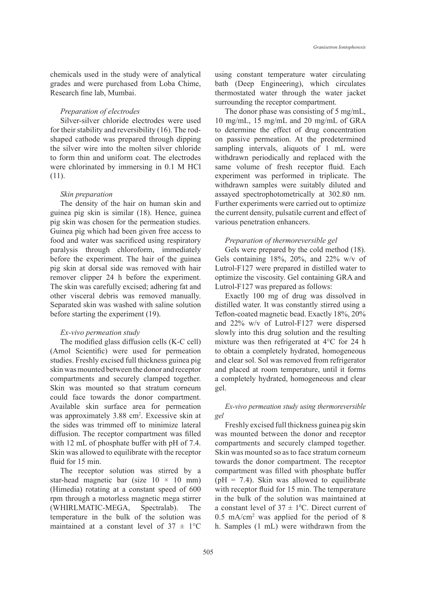chemicals used in the study were of analytical grades and were purchased from Loba Chime, Research fine lab, Mumbai.

## *Preparation of electrodes*

Silver-silver chloride electrodes were used for their stability and reversibility (16). The rodshaped cathode was prepared through dipping the silver wire into the molten silver chloride to form thin and uniform coat. The electrodes were chlorinated by immersing in 0.1 M HCl (11).

#### *Skin preparation*

The density of the hair on human skin and guinea pig skin is similar (18). Hence, guinea pig skin was chosen for the permeation studies. Guinea pig which had been given free access to food and water was sacrificed using respiratory paralysis through chloroform, immediately before the experiment. The hair of the guinea pig skin at dorsal side was removed with hair remover clipper 24 h before the experiment. The skin was carefully excised; adhering fat and other visceral debris was removed manually. Separated skin was washed with saline solution before starting the experiment (19).

### *Ex-vivo permeation study*

The modified glass diffusion cells (K-C cell) (Amol Scientific) were used for permeation studies. Freshly excised full thickness guinea pig skin was mounted between the donor and receptor compartments and securely clamped together. Skin was mounted so that stratum corneum could face towards the donor compartment. Available skin surface area for permeation was approximately 3.88 cm<sup>2</sup>. Excessive skin at the sides was trimmed off to minimize lateral diffusion. The receptor compartment was filled with 12 mL of phosphate buffer with pH of 7.4. Skin was allowed to equilibrate with the receptor fluid for 15 min.

The receptor solution was stirred by a star-head magnetic bar (size  $10 \times 10$  mm) (Himedia) rotating at a constant speed of 600 rpm through a motorless magnetic mega stirrer (WHIRLMATIC-MEGA, Spectralab). The temperature in the bulk of the solution was maintained at a constant level of  $37 \pm 1$ °C using constant temperature water circulating bath (Deep Engineering), which circulates thermostated water through the water jacket surrounding the receptor compartment.

The donor phase was consisting of 5 mg/mL, 10 mg/mL, 15 mg/mL and 20 mg/mL of GRA to determine the effect of drug concentration on passive permeation. At the predetermined sampling intervals, aliquots of 1 mL were withdrawn periodically and replaced with the same volume of fresh receptor fluid. Each experiment was performed in triplicate. The withdrawn samples were suitably diluted and assayed spectrophotometrically at 302.80 nm. Further experiments were carried out to optimize the current density, pulsatile current and effect of various penetration enhancers.

## *Preparation of thermoreversible gel*

Gels were prepared by the cold method (18). Gels containing 18%, 20%, and 22% w/v of Lutrol-F127 were prepared in distilled water to optimize the viscosity. Gel containing GRA and Lutrol-F127 was prepared as follows:

Exactly 100 mg of drug was dissolved in distilled water. It was constantly stirred using a Teflon-coated magnetic bead. Exactly 18%, 20% and 22% w/v of Lutrol-F127 were dispersed slowly into this drug solution and the resulting mixture was then refrigerated at 4°C for 24 h to obtain a completely hydrated, homogeneous and clear sol. Sol was removed from refrigerator and placed at room temperature, until it forms a completely hydrated, homogeneous and clear gel.

# *Ex-vivo permeation study using thermoreversible gel*

Freshly excised full thickness guinea pig skin was mounted between the donor and receptor compartments and securely clamped together. Skin was mounted so as to face stratum corneum towards the donor compartment. The receptor compartment was filled with phosphate buffer ( $pH = 7.4$ ). Skin was allowed to equilibrate with receptor fluid for 15 min. The temperature in the bulk of the solution was maintained at a constant level of  $37 \pm 10$ °C. Direct current of 0.5 mA/cm2 was applied for the period of 8 h. Samples (1 mL) were withdrawn from the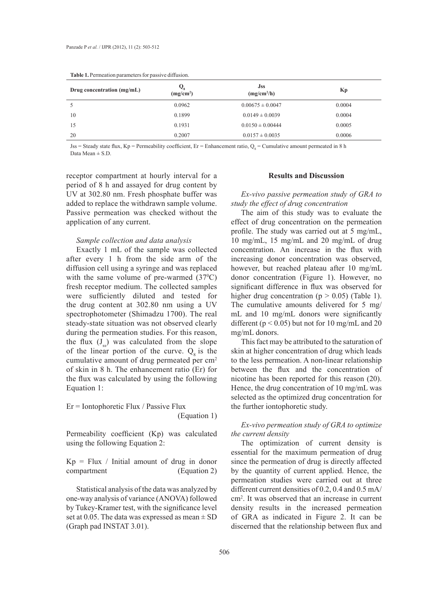| <b>rapic 1.1</b> Chileation parameters for passive diffusion. |                       |                                       |        |  |  |
|---------------------------------------------------------------|-----------------------|---------------------------------------|--------|--|--|
| Drug concentration $(mg/mL)$                                  | (mg/cm <sup>2</sup> ) | <b>Jss</b><br>(mg/cm <sup>2</sup> /h) | Kp     |  |  |
|                                                               | 0.0962                | $0.00675 \pm 0.0047$                  | 0.0004 |  |  |
| 10                                                            | 0.1899                | $0.0149 \pm 0.0039$                   | 0.0004 |  |  |
| 15                                                            | 0.1931                | $0.0150 \pm 0.00444$                  | 0.0005 |  |  |
| 20                                                            | 0.2007                | $0.0157 \pm 0.0035$                   | 0.0006 |  |  |

**Table 1.** Permeation parameters for passive diffusion.

Jss = Steady state flux, Kp = Permeability coefficient, Er = Enhancement ratio,  $Q_s$  = Cumulative amount permeated in 8 h Data Mean  $\pm$  S.D.

receptor compartment at hourly interval for a period of 8 h and assayed for drug content by UV at 302.80 nm. Fresh phosphate buffer was added to replace the withdrawn sample volume. Passive permeation was checked without the application of any current.

## *Sample collection and data analysis*

Exactly 1 mL of the sample was collected after every 1 h from the side arm of the diffusion cell using a syringe and was replaced with the same volume of pre-warmed  $(37^{\circ}C)$ fresh receptor medium. The collected samples were sufficiently diluted and tested for the drug content at 302.80 nm using a UV spectrophotometer (Shimadzu 1700). The real steady-state situation was not observed clearly during the permeation studies. For this reason, the flux  $(J_{ss})$  was calculated from the slope of the linear portion of the curve.  $Q_8$  is the cumulative amount of drug permeated per cm<sup>2</sup> of skin in 8 h. The enhancement ratio (Er) for the flux was calculated by using the following Equation 1:

Er = Iontophoretic Flux / Passive Flux (Equation 1)

Permeability coefficient (Kp) was calculated using the following Equation 2:

 $Kp = Flux / Initial amount of drug in donor$ compartment (Equation 2)

Statistical analysis of the data was analyzed by one-way analysis of variance (ANOVA) followed by Tukey-Kramer test, with the significance level set at 0.05. The data was expressed as mean  $\pm$  SD (Graph pad INSTAT 3.01).

#### **Results and Discussion**

*Ex-vivo passive permeation study of GRA to study the effect of drug concentration*

The aim of this study was to evaluate the effect of drug concentration on the permeation profile. The study was carried out at 5 mg/mL, 10 mg/mL, 15 mg/mL and 20 mg/mL of drug concentration. An increase in the flux with increasing donor concentration was observed, however, but reached plateau after 10 mg/mL donor concentration (Figure 1). However, no significant difference in flux was observed for higher drug concentration ( $p > 0.05$ ) (Table 1). The cumulative amounts delivered for 5 mg/ mL and 10 mg/mL donors were significantly different ( $p < 0.05$ ) but not for 10 mg/mL and 20 mg/mL donors.

This fact may be attributed to the saturation of skin at higher concentration of drug which leads to the less permeation. A non-linear relationship between the flux and the concentration of nicotine has been reported for this reason (20). Hence, the drug concentration of 10 mg/mL was selected as the optimized drug concentration for the further iontophoretic study.

# *Ex-vivo permeation study of GRA to optimize the current density*

The optimization of current density is essential for the maximum permeation of drug since the permeation of drug is directly affected by the quantity of current applied. Hence, the permeation studies were carried out at three different current densities of 0.2, 0.4 and 0.5 mA/ cm2 . It was observed that an increase in current density results in the increased permeation of GRA as indicated in Figure 2. It can be discerned that the relationship between flux and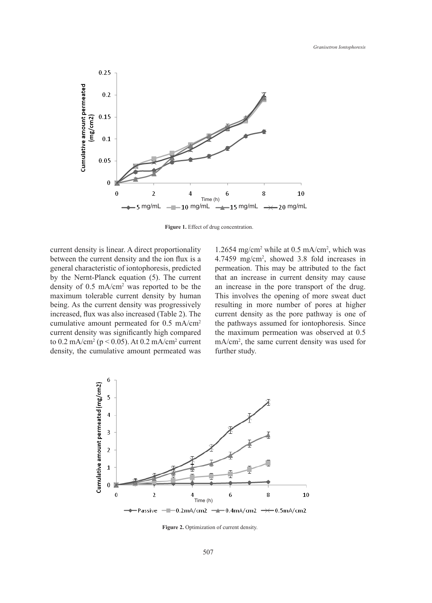

Figure 1. Effect of drug concentration.

current density is linear. A direct proportionality between the current density and the ion flux is a general characteristic of iontophoresis, predicted by the Nernt-Planck equation (5). The current density of 0.5 mA/cm2 was reported to be the maximum tolerable current density by human being. As the current density was progressively increased, flux was also increased (Table 2). The cumulative amount permeated for 0.5 mA/cm2 current density was significantly high compared to  $0.2 \text{ mA/cm}^2 \text{ (p} < 0.05)$ . At  $0.2 \text{ mA/cm}^2 \text{ current}$ density, the cumulative amount permeated was

1.2654 mg/cm<sup>2</sup> while at 0.5 mA/cm<sup>2</sup>, which was 4.7459 mg/cm2 , showed 3.8 fold increases in permeation. This may be attributed to the fact that an increase in current density may cause an increase in the pore transport of the drug. This involves the opening of more sweat duct resulting in more number of pores at higher current density as the pore pathway is one of the pathways assumed for iontophoresis. Since the maximum permeation was observed at 0.5 mA/cm2 , the same current density was used for further study.



Figure 2. Optimization of current density.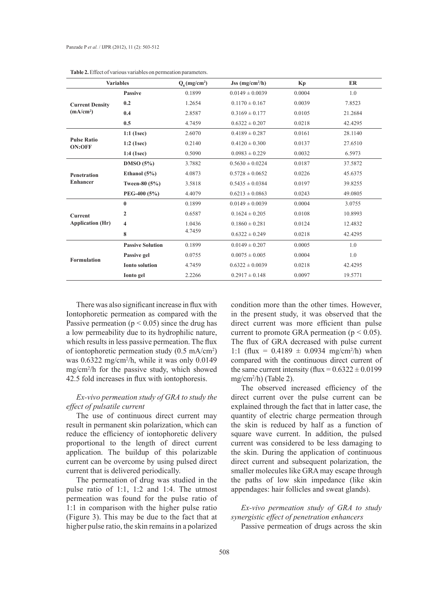|                                                                                                                                                                                                                                              | <b>Variables</b>        | $Q_{\rm s}$ (mg/cm <sup>2</sup> ) | $Jss$ (mg/cm <sup>2</sup> /h) | Kp     | ER      |
|----------------------------------------------------------------------------------------------------------------------------------------------------------------------------------------------------------------------------------------------|-------------------------|-----------------------------------|-------------------------------|--------|---------|
| <b>Current Density</b><br>(mA/cm <sup>2</sup> )                                                                                                                                                                                              | <b>Passive</b>          | 0.1899                            | $0.0149 \pm 0.0039$           | 0.0004 | 1.0     |
|                                                                                                                                                                                                                                              | 0.2                     | 1.2654                            | $0.1170 \pm 0.167$            | 0.0039 | 7.8523  |
|                                                                                                                                                                                                                                              | 0.4                     | 2.8587                            | $0.3169 \pm 0.177$            | 0.0105 | 21.2684 |
|                                                                                                                                                                                                                                              | 0.5                     | 4.7459                            | $0.6322 \pm 0.207$            | 0.0218 | 42.4295 |
| <b>Pulse Ratio</b><br><b>ON:OFF</b>                                                                                                                                                                                                          | $1:1$ (1sec)            | 2.6070                            | $0.4189 \pm 0.287$            | 0.0161 | 28.1140 |
|                                                                                                                                                                                                                                              | $1:2$ (1sec)            | 0.2140                            | $0.4120 \pm 0.300$            | 0.0137 | 27.6510 |
|                                                                                                                                                                                                                                              | $1:4$ (1sec)            | 0.5090                            | $0.0983 \pm 0.229$            | 0.0032 | 6.5973  |
| <b>Penetration</b><br><b>Enhancer</b>                                                                                                                                                                                                        | DMSO(5%)                | 3.7882                            | $0.5630 \pm 0.0224$           | 0.0187 | 37.5872 |
|                                                                                                                                                                                                                                              | Ethanol $(5\%)$         | 4.0873                            | $0.5728 \pm 0.0652$           | 0.0226 | 45.6375 |
|                                                                                                                                                                                                                                              | Tween-80 (5%)           | 3.5818                            | $0.5435 \pm 0.0384$           | 0.0197 | 39.8255 |
|                                                                                                                                                                                                                                              | PEG-400 (5%)            | 4.4079                            | $0.6213 \pm 0.0863$           | 0.0243 | 49.0805 |
| $\mathbf{0}$<br>0.1899<br>$0.0149 \pm 0.0039$<br>$\overline{2}$<br>0.6587<br>$0.1624 \pm 0.205$<br><b>Current</b><br><b>Application (Hr)</b><br>$\overline{\mathbf{4}}$<br>1.0436<br>$0.1860 \pm 0.281$<br>4.7459<br>8<br>$0.6322 \pm 0.249$ |                         |                                   |                               | 0.0004 | 3.0755  |
|                                                                                                                                                                                                                                              | 0.0108                  | 10.8993                           |                               |        |         |
|                                                                                                                                                                                                                                              |                         |                                   |                               | 0.0124 | 12.4832 |
|                                                                                                                                                                                                                                              |                         |                                   |                               | 0.0218 | 42.4295 |
| <b>Formulation</b>                                                                                                                                                                                                                           | <b>Passive Solution</b> | 0.1899                            | $0.0149 \pm 0.207$            | 0.0005 | 1.0     |
|                                                                                                                                                                                                                                              | Passive gel             | 0.0755                            | $0.0075 \pm 0.005$            | 0.0004 | 1.0     |
|                                                                                                                                                                                                                                              | <b>Ionto solution</b>   | 4.7459                            | $0.6322 \pm 0.0039$           | 0.0218 | 42.4295 |
|                                                                                                                                                                                                                                              | Ionto gel               | 2.2266                            | $0.2917 \pm 0.148$            | 0.0097 | 19.5771 |

**Table 2.** Effect of various variables on permeation parameters.

There was also significant increase in flux with Iontophoretic permeation as compared with the Passive permeation ( $p < 0.05$ ) since the drug has a low permeability due to its hydrophilic nature, which results in less passive permeation. The flux of iontophoretic permeation study (0.5 mA/cm2 ) was 0.6322 mg/cm2 /h, while it was only 0.0149 mg/cm2 /h for the passive study, which showed 42.5 fold increases in flux with iontophoresis.

## *Ex-vivo permeation study of GRA to study the effect of pulsatile current*

The use of continuous direct current may result in permanent skin polarization, which can reduce the efficiency of iontophoretic delivery proportional to the length of direct current application. The buildup of this polarizable current can be overcome by using pulsed direct current that is delivered periodically.

The permeation of drug was studied in the pulse ratio of 1:1, 1:2 and 1:4. The utmost permeation was found for the pulse ratio of 1:1 in comparison with the higher pulse ratio (Figure 3). This may be due to the fact that at higher pulse ratio, the skin remains in a polarized condition more than the other times. However, in the present study, it was observed that the direct current was more efficient than pulse current to promote GRA permeation ( $p < 0.05$ ). The flux of GRA decreased with pulse current 1:1 (flux =  $0.4189 \pm 0.0934$  mg/cm<sup>2</sup>/h) when compared with the continuous direct current of the same current intensity (flux =  $0.6322 \pm 0.0199$ ) mg/cm2 /h) (Table 2).

The observed increased efficiency of the direct current over the pulse current can be explained through the fact that in latter case, the quantity of electric charge permeation through the skin is reduced by half as a function of square wave current. In addition, the pulsed current was considered to be less damaging to the skin. During the application of continuous direct current and subsequent polarization, the smaller molecules like GRA may escape through the paths of low skin impedance (like skin appendages: hair follicles and sweat glands).

*Ex-vivo permeation study of GRA to study synergistic effect of penetration enhancers*

Passive permeation of drugs across the skin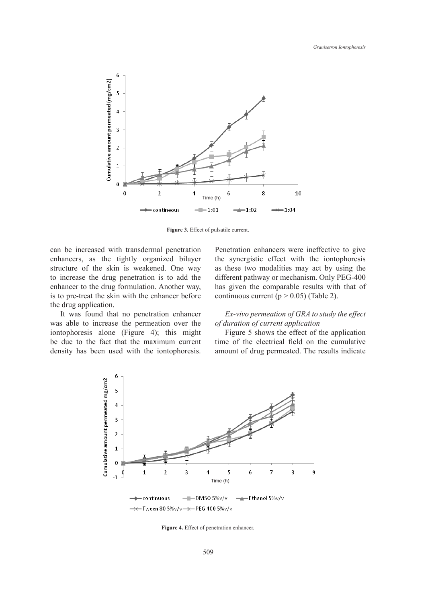

**Figure 3.** Effect of pulsatile current.

can be increased with transdermal penetration enhancers, as the tightly organized bilayer structure of the skin is weakened. One way to increase the drug penetration is to add the enhancer to the drug formulation. Another way, is to pre-treat the skin with the enhancer before the drug application.

It was found that no penetration enhancer was able to increase the permeation over the iontophoresis alone (Figure 4); this might be due to the fact that the maximum current density has been used with the iontophoresis. Penetration enhancers were ineffective to give the synergistic effect with the iontophoresis as these two modalities may act by using the different pathway or mechanism. Only PEG-400 has given the comparable results with that of continuous current ( $p > 0.05$ ) (Table 2).

# *Ex-vivo permeation of GRA to study the effect of duration of current application*

Figure 5 shows the effect of the application time of the electrical field on the cumulative amount of drug permeated. The results indicate



**Figure 4.** Effect of penetration enhancer.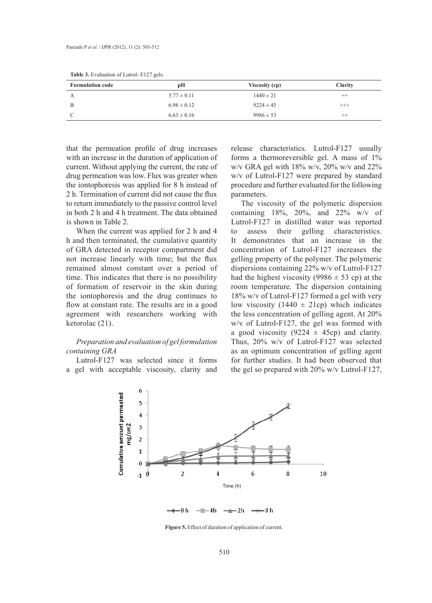| <b>Formulation code</b> | рH              | Viscosity (cp) | <b>Clarity</b> |
|-------------------------|-----------------|----------------|----------------|
|                         | $5.77 \pm 0.11$ | $1440 \pm 21$  | $^{++}$        |
|                         | $6.98 \pm 0.12$ | $9224 \pm 45$  | $^{+++}$       |
|                         | $6.63 \pm 0.16$ | $9986 \pm 53$  | $^{++}$        |

**Table 3.** Evaluation of Lutrol- F127 gels.

that the permeation profile of drug increases with an increase in the duration of application of current. Without applying the current, the rate of drug permeation was low. Flux was greater when the iontophoresis was applied for 8 h instead of 2 h. Termination of current did not cause the flux to return immediately to the passive control level in both 2 h and 4 h treatment. The data obtained is shown in Table 2.

When the current was applied for 2 h and 4 h and then terminated, the cumulative quantity of GRA detected in receptor compartment did not increase linearly with time; but the flux remained almost constant over a period of time. This indicates that there is no possibility of formation of reservoir in the skin during the iontophoresis and the drug continues to flow at constant rate. The results are in a good agreement with researchers working with ketorolac (21).

## *Preparation and evaluation of gel formulation containing GRA*

Lutrol-F127 was selected since it forms a gel with acceptable viscosity, clarity and release characteristics. Lutrol-F127 usually forms a thermoreversible gel. A mass of 1% w/v GRA gel with  $18\%$  w/v,  $20\%$  w/v and  $22\%$ w/v of Lutrol-F127 were prepared by standard procedure and further evaluated for the following parameters.

The viscosity of the polymeric dispersion containing  $18\%, 20\%, \text{ and } 22\% \text{ w/v of }$ Lutrol-F127 in distilled water was reported to assess their gelling characteristics. It demonstrates that an increase in the concentration of Lutrol-F127 increases the gelling property of the polymer. The polymeric dispersions containing 22% w/v of Lutrol-F127 had the highest viscosity (9986  $\pm$  53 cp) at the room temperature. The dispersion containing 18% w/v of Lutrol-F127 formed a gel with very low viscosity (1440  $\pm$  21cp) which indicates the less concentration of gelling agent. At 20% w/v of Lutrol-F127, the gel was formed with a good viscosity (9224  $\pm$  45cp) and clarity. Thus, 20% w/v of Lutrol-F127 was selected as an optimum concentration of gelling agent for further studies. It had been observed that the gel so prepared with 20% w/v Lutrol-F127,



**Figure 5.** Effect of duration of application of current.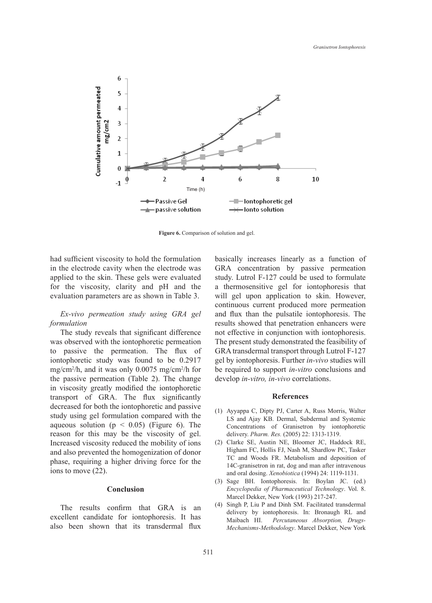

Figure 6. Comparison of solution and gel.

had sufficient viscosity to hold the formulation in the electrode cavity when the electrode was applied to the skin. These gels were evaluated for the viscosity, clarity and pH and the evaluation parameters are as shown in Table 3.

# *Ex-vivo permeation study using GRA gel formulation*

The study reveals that significant difference was observed with the iontophoretic permeation to passive the permeation. The flux of iontophoretic study was found to be 0.2917 mg/cm2 /h, and it was only 0.0075 mg/cm2 /h for the passive permeation (Table 2). The change in viscosity greatly modified the iontophoretic transport of GRA. The flux significantly decreased for both the iontophoretic and passive study using gel formulation compared with the aqueous solution ( $p < 0.05$ ) (Figure 6). The reason for this may be the viscosity of gel. Increased viscosity reduced the mobility of ions and also prevented the homogenization of donor phase, requiring a higher driving force for the ions to move (22).

# **Conclusion**

The results confirm that GRA is an excellent candidate for iontophoresis. It has also been shown that its transdermal flux basically increases linearly as a function of GRA concentration by passive permeation study. Lutrol F-127 could be used to formulate a thermosensitive gel for iontophoresis that will gel upon application to skin. However, continuous current produced more permeation and flux than the pulsatile iontophoresis. The results showed that penetration enhancers were not effective in conjunction with iontophoresis. The present study demonstrated the feasibility of GRA transdermal transport through Lutrol F-127 gel by iontophoresis. Further *in-vivo* studies will be required to support *in-vitro* conclusions and develop *in-vitro, in-vivo* correlations.

#### **References**

- (1) Ayyappa C, Dipty PJ, Carter A, Russ Morris, Walter LS and Ajay KB. Dermal, Subdermal and Systemic Concentrations of Granisetron by iontophoretic delivery. *Pharm. Res.* (2005) 22: 1313-1319.
- Clarke SE, Austin NE, Bloomer JC, Haddock RE, Higham FC, Hollis FJ, Nash M, Shardlow PC, Tasker TC and Woods FR. Metabolism and deposition of 14C-granisetron in rat, dog and man after intravenous and oral dosing. *Xenobiotica* (1994) 24: 1119-1131. (2)
- (3) Sage BH. Iontophoresis. In: Boylan JC. (ed.) *Encyclopedia of Pharmaceutical Technology*. Vol. 8. Marcel Dekker, New York (1993) 217-247.
- (4) Singh P, Liu P and Dinh SM. Facilitated transdermal delivery by iontophoresis. In: Bronaugh RL and Maibach HI. *Percutaneous Absorption, Drugs-Mechanisms-Methodology*. Marcel Dekker, New York